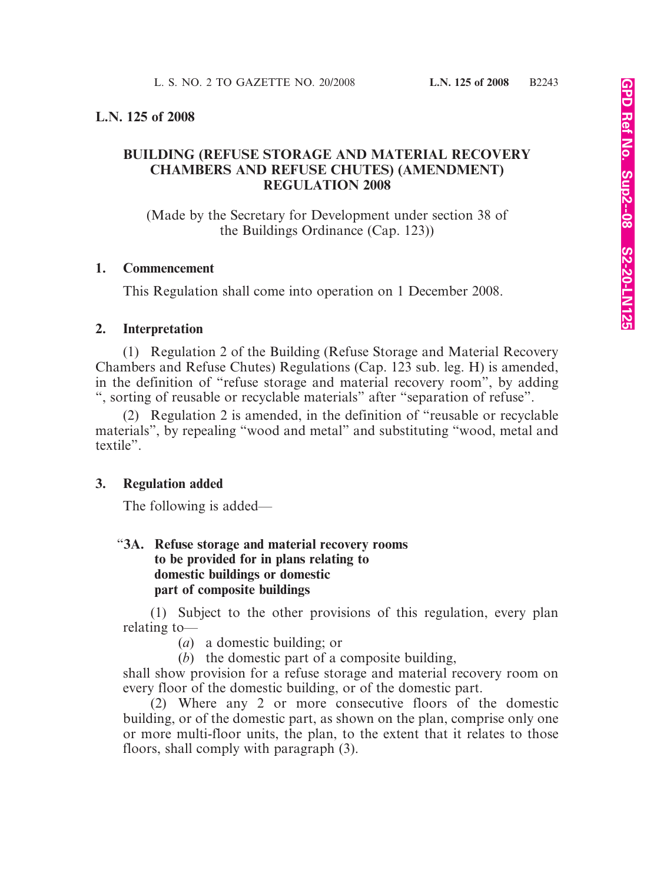# **L.N. 125 of 2008**

# **BUILDING (REFUSE STORAGE AND MATERIAL RECOVERY CHAMBERS AND REFUSE CHUTES) (AMENDMENT) REGULATION 2008**

(Made by the Secretary for Development under section 38 of the Buildings Ordinance (Cap. 123))

#### **1. Commencement**

This Regulation shall come into operation on 1 December 2008.

# **2. Interpretation**

(1) Regulation 2 of the Building (Refuse Storage and Material Recovery Chambers and Refuse Chutes) Regulations (Cap. 123 sub. leg. H) is amended, in the definition of "refuse storage and material recovery room", by adding ", sorting of reusable or recyclable materials" after "separation of refuse".

(2) Regulation 2 is amended, in the definition of "reusable or recyclable materials", by repealing "wood and metal" and substituting "wood, metal and textile".

# **3. Regulation added**

The following is added—

# "**3A. Refuse storage and material recovery rooms to be provided for in plans relating to domestic buildings or domestic part of composite buildings**

(1) Subject to the other provisions of this regulation, every plan relating to—

(*a*) a domestic building; or

(*b*) the domestic part of a composite building,

shall show provision for a refuse storage and material recovery room on every floor of the domestic building, or of the domestic part.

(2) Where any 2 or more consecutive floors of the domestic building, or of the domestic part, as shown on the plan, comprise only one or more multi-floor units, the plan, to the extent that it relates to those floors, shall comply with paragraph (3).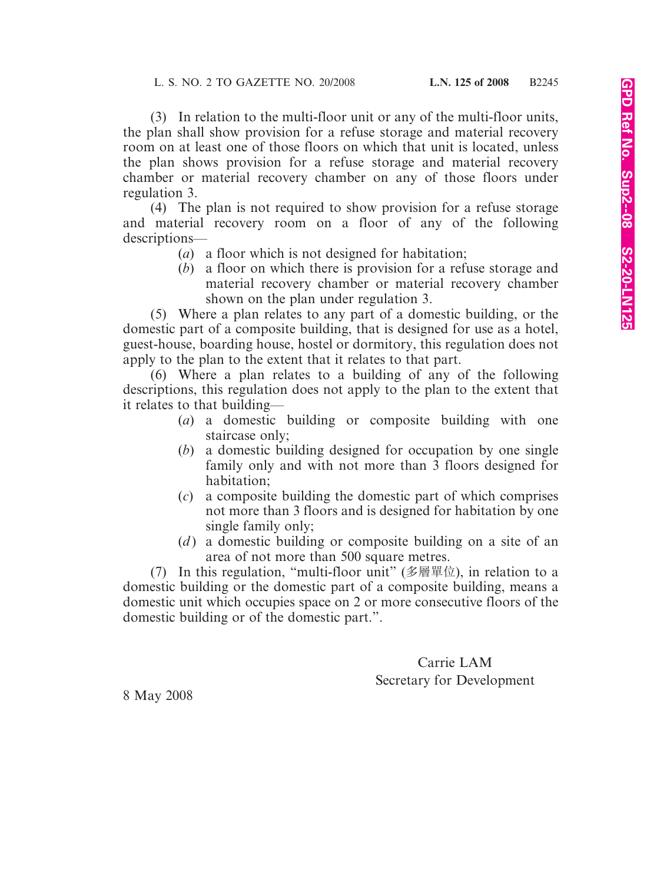(3) In relation to the multi-floor unit or any of the multi-floor units, the plan shall show provision for a refuse storage and material recovery room on at least one of those floors on which that unit is located, unless the plan shows provision for a refuse storage and material recovery chamber or material recovery chamber on any of those floors under regulation 3.

(4) The plan is not required to show provision for a refuse storage and material recovery room on a floor of any of the following descriptions—

- (*a*) a floor which is not designed for habitation;
- (*b*) a floor on which there is provision for a refuse storage and material recovery chamber or material recovery chamber shown on the plan under regulation 3.

(5) Where a plan relates to any part of a domestic building, or the domestic part of a composite building, that is designed for use as a hotel, guest-house, boarding house, hostel or dormitory, this regulation does not apply to the plan to the extent that it relates to that part.

(6) Where a plan relates to a building of any of the following descriptions, this regulation does not apply to the plan to the extent that it relates to that building—

- (*a*) a domestic building or composite building with one staircase only;
- (*b*) a domestic building designed for occupation by one single family only and with not more than 3 floors designed for habitation;
- (*c*) a composite building the domestic part of which comprises not more than 3 floors and is designed for habitation by one single family only;
- (*d*) a domestic building or composite building on a site of an area of not more than 500 square metres.

(7) In this regulation, "multi-floor unit" (多層單位), in relation to a domestic building or the domestic part of a composite building, means a domestic unit which occupies space on 2 or more consecutive floors of the domestic building or of the domestic part.".

> Carrie LAM Secretary for Development

8 May 2008